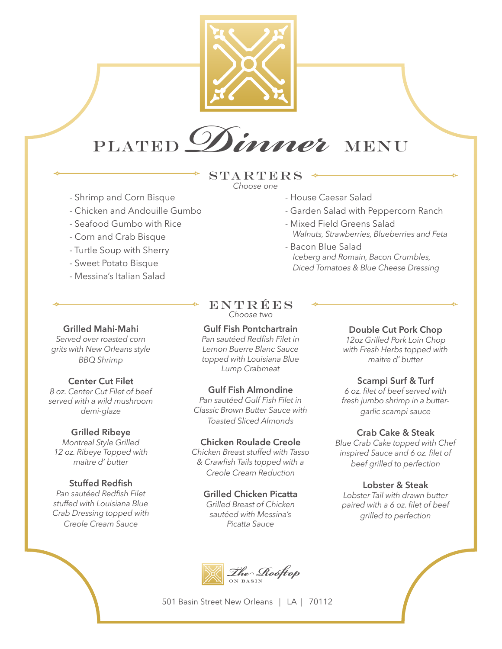

# Plated *Dinner* MENU

### **STARTERS** *Choose one*

- House Caesar Salad

- Bacon Blue Salad

- Mixed Field Greens Salad

- Garden Salad with Peppercorn Ranch

 *Iceberg and Romain, Bacon Crumbles, Diced Tomatoes & Blue Cheese Dressing*

 *Walnuts, Strawberries, Blueberries and Feta*

- Shrimp and Corn Bisque
- Chicken and Andouille Gumbo
- Seafood Gumbo with Rice
- Corn and Crab Bisque
- Turtle Soup with Sherry
- Sweet Potato Bisque
- Messina's Italian Salad

# **Grilled Mahi-Mahi**

*Served over roasted corn grits with New Orleans style BBQ Shrimp*

#### **Center Cut Filet**

*8 oz. Center Cut Filet of beef served with a wild mushroom demi-glaze* 

#### **Grilled Ribeye**

*Montreal Style Grilled 12 oz. Ribeye Topped with maitre d' butter* 

# **Stuffed Redfish**

*Pan sautéed Redfish Filet stuffed with Louisiana Blue Crab Dressing topped with Creole Cream Sauce* 

# ENTRÉES *Choose two*

# **Gulf Fish Pontchartrain**

*Pan sautéed Redfish Filet in Lemon Buerre Blanc Sauce topped with Louisiana Blue Lump Crabmeat* 

#### **Gulf Fish Almondine**

*Pan sautéed Gulf Fish Filet in Classic Brown Butter Sauce with Toasted Sliced Almonds* 

#### **Chicken Roulade Creole**

*Chicken Breast stuffed with Tasso & Crawfish Tails topped with a Creole Cream Reduction* 

# **Grilled Chicken Picatta**

*Grilled Breast of Chicken sautéed with Messina's Picatta Sauce* 

# The Rooftop

501 Basin Street New Orleans | LA | 70112

# **Double Cut Pork Chop**

*12oz Grilled Pork Loin Chop with Fresh Herbs topped with maitre d' butter* 

#### **Scampi Surf & Turf**

*6 oz. filet of beef served with fresh jumbo shrimp in a buttergarlic scampi sauce* 

#### **Crab Cake & Steak**

*Blue Crab Cake topped with Chef inspired Sauce and 6 oz. filet of beef grilled to perfection* 

#### **Lobster & Steak**

*Lobster Tail with drawn butter paired with a 6 oz. filet of beef grilled to perfection*